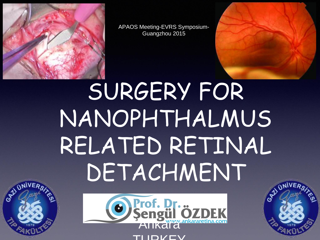

APAOS Meeting-EVRS Symposium-Guangzhou 2015



# SURGERY FOR NANOPHTHALMUS RELATED RETINAL DETACHMENT



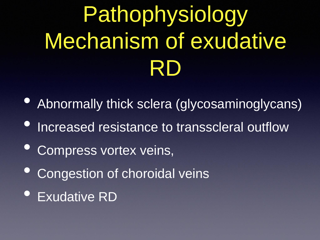# Pathophysiology Mechanism of exudative RD

- Abnormally thick sclera (glycosaminoglycans)
- Increased resistance to transscleral outflow
- **Compress vortex veins,**
- Congestion of choroidal veins
- Exudative RD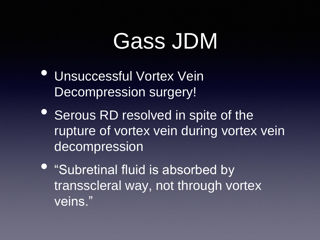## Gass JDM

- Unsuccessful Vortex Vein Decompression surgery!
- Serous RD resolved in spite of the rupture of vortex vein during vortex vein decompression
- "Subretinal fluid is absorbed by transscleral way, not through vortex veins."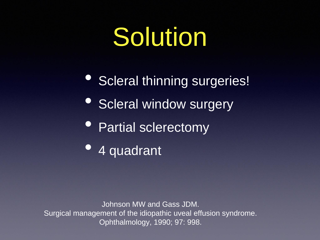## Solution

- Scleral thinning surgeries!
- Scleral window surgery
- Partial sclerectomy
- 4 quadrant

Johnson MW and Gass JDM. Surgical management of the idiopathic uveal effusion syndrome. Ophthalmology, 1990; 97: 998.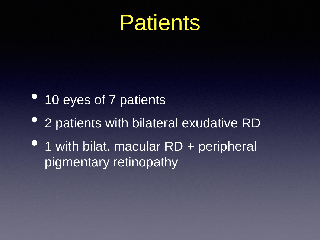## Patients

- 10 eyes of 7 patients
- 2 patients with bilateral exudative RD
- 1 with bilat. macular RD + peripheral pigmentary retinopathy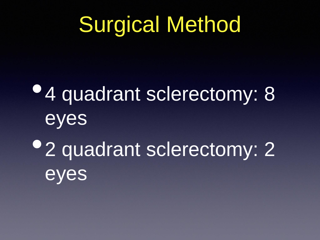## Surgical Method

•4 quadrant sclerectomy: 8 eyes

•2 quadrant sclerectomy: 2 eyes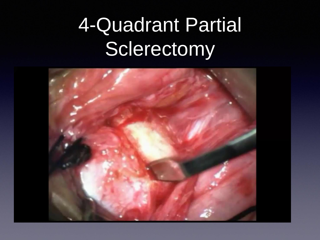### 4-Quadrant Partial Sclerectomy

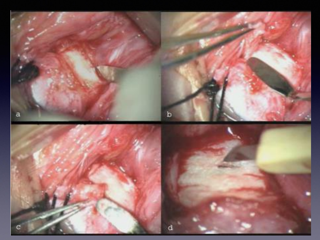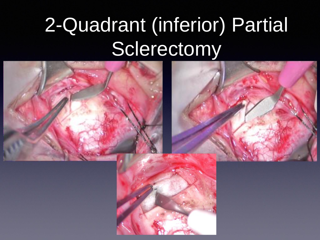## 2-Quadrant (inferior) Partial Sclerectomy



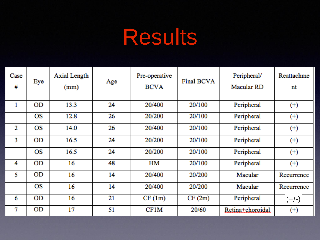## Results

| Case<br>#    | Eye       | Axial Length<br>(mm) | Age          | Pre-operative<br><b>BCVA</b> | Final BCVA | Peripheral/<br>Macular RD | Reattachme<br>mt. |
|--------------|-----------|----------------------|--------------|------------------------------|------------|---------------------------|-------------------|
| 1            | OD        | 13.3                 | 24           | 20/400                       | 20/100     | Peripheral                | $^{(+)}$          |
|              | <b>OS</b> | 12.8                 | 26           | 20/200                       | 20/100     | Peripheral                | $^{(+)}$          |
| $\mathbf{2}$ | <b>OS</b> | 14.0                 | 26           | 20/400                       | 20/100     | Peripheral                | $^{(+)}$          |
| 3            | ОD        | 16.5                 | 24           | 20/200                       | 20/100     | Peripheral                | $^{(+)}$          |
|              | <b>OS</b> | 16.5                 | 24           | 20/200                       | 20/100     | Peripheral                | $^{(+)}$          |
| 4            | OD        | 16                   | 48           | HМ                           | 20/100     | Peripheral                | $^{(+)}$          |
| 5.           | OD        | 16                   | 14           | 20/400                       | 20/200     | Macular                   | Recurrence        |
|              | <b>OS</b> | 16                   | $14^{\circ}$ | 20/400                       | 20/200     | Macular                   | Recurrence        |
| 6            | OD        | 16                   | 21           | CF(1m)                       | CF(2m)     | Peripheral                | $(+/-)$           |
| 7            | OD        | 17                   | 51           | CF1M                         | 20/60      | Retina+choroidal          | $^{(+)}$          |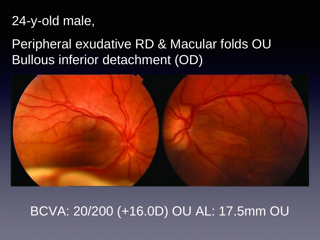#### 24-y-old male,

#### Peripheral exudative RD & Macular folds OU Bullous inferior detachment (OD)



#### BCVA: 20/200 (+16.0D) OU AL: 17.5mm OU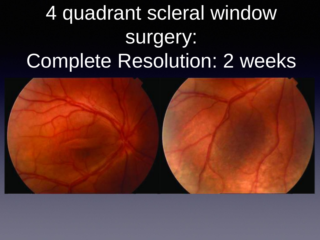## 4 quadrant scleral window surgery: Complete Resolution: 2 weeks

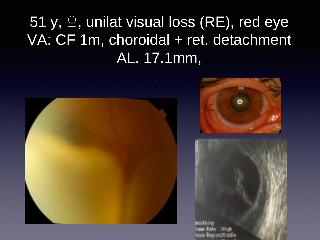### 51 y,  $\varphi$ , unilat visual loss (RE), red eye VA: CF 1m, choroidal + ret. detachment AL. 17.1mm,

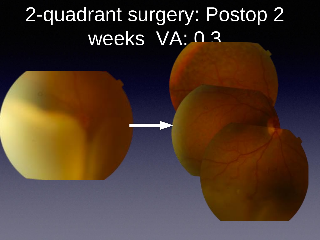## 2-quadrant surgery: Postop 2 Weeks VA: 03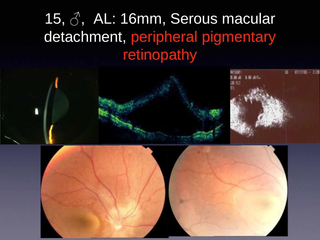### 15, ♂, AL: 16mm, Serous macular detachment, peripheral pigmentary retinopathy



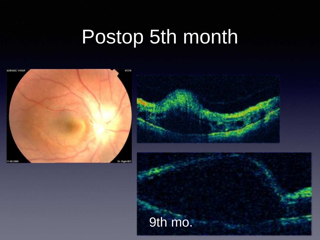### Postop 5th month



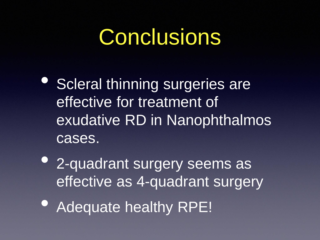### Conclusions

- Scleral thinning surgeries are effective for treatment of exudative RD in Nanophthalmos cases.
- 2-quadrant surgery seems as effective as 4-quadrant surgery
- Adequate healthy RPE!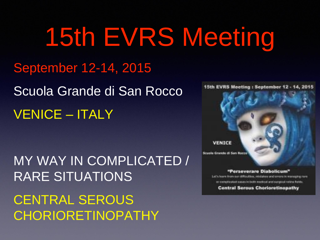# 15th EVRS Meeting

#### September 12-14, 2015

Scuola Grande di San Rocco

VENICE – ITALY

MY WAY IN COMPLICATED / RARE SITUATIONS

CENTRAL SEROUS CHORIORETINOPATHY